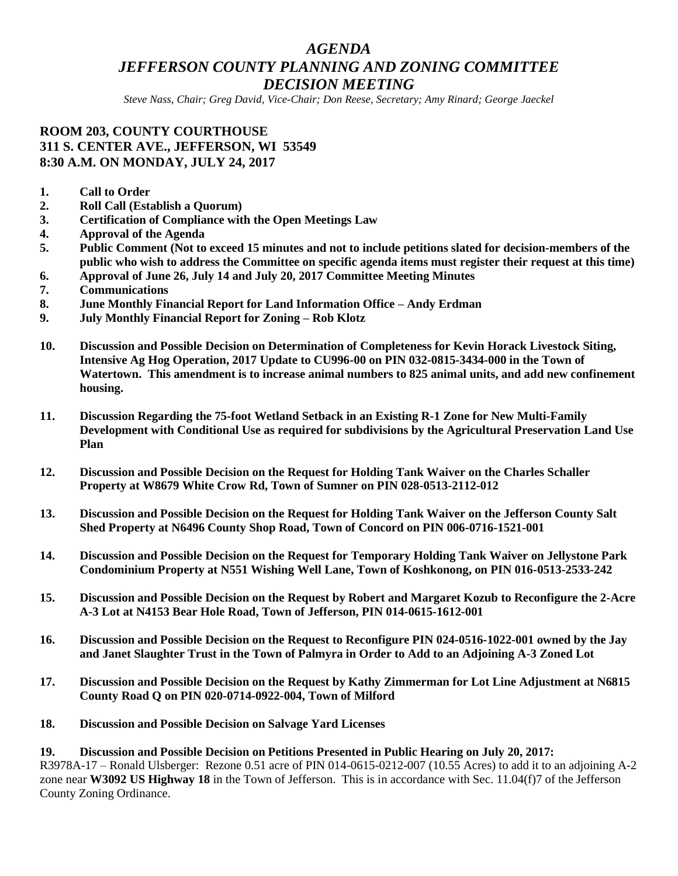# *AGENDA JEFFERSON COUNTY PLANNING AND ZONING COMMITTEE DECISION MEETING*

*Steve Nass, Chair; Greg David, Vice-Chair; Don Reese, Secretary; Amy Rinard; George Jaeckel*

### **ROOM 203, COUNTY COURTHOUSE 311 S. CENTER AVE., JEFFERSON, WI 53549 8:30 A.M. ON MONDAY, JULY 24, 2017**

- **1. Call to Order**
- **2. Roll Call (Establish a Quorum)**
- **3. Certification of Compliance with the Open Meetings Law**
- **4. Approval of the Agenda**
- **5. Public Comment (Not to exceed 15 minutes and not to include petitions slated for decision-members of the public who wish to address the Committee on specific agenda items must register their request at this time)**
- **6. Approval of June 26, July 14 and July 20, 2017 Committee Meeting Minutes**
- **7. Communications**
- **8. June Monthly Financial Report for Land Information Office – Andy Erdman**
- **9. July Monthly Financial Report for Zoning – Rob Klotz**
- **10. Discussion and Possible Decision on Determination of Completeness for Kevin Horack Livestock Siting, Intensive Ag Hog Operation, 2017 Update to CU996-00 on PIN 032-0815-3434-000 in the Town of Watertown. This amendment is to increase animal numbers to 825 animal units, and add new confinement housing.**
- **11. Discussion Regarding the 75-foot Wetland Setback in an Existing R-1 Zone for New Multi-Family Development with Conditional Use as required for subdivisions by the Agricultural Preservation Land Use Plan**
- **12. Discussion and Possible Decision on the Request for Holding Tank Waiver on the Charles Schaller Property at W8679 White Crow Rd, Town of Sumner on PIN 028-0513-2112-012**
- **13. Discussion and Possible Decision on the Request for Holding Tank Waiver on the Jefferson County Salt Shed Property at N6496 County Shop Road, Town of Concord on PIN 006-0716-1521-001**
- **14. Discussion and Possible Decision on the Request for Temporary Holding Tank Waiver on Jellystone Park Condominium Property at N551 Wishing Well Lane, Town of Koshkonong, on PIN 016-0513-2533-242**
- **15. Discussion and Possible Decision on the Request by Robert and Margaret Kozub to Reconfigure the 2-Acre A-3 Lot at N4153 Bear Hole Road, Town of Jefferson, PIN 014-0615-1612-001**
- **16. Discussion and Possible Decision on the Request to Reconfigure PIN 024-0516-1022-001 owned by the Jay and Janet Slaughter Trust in the Town of Palmyra in Order to Add to an Adjoining A-3 Zoned Lot**
- **17. Discussion and Possible Decision on the Request by Kathy Zimmerman for Lot Line Adjustment at N6815 County Road Q on PIN 020-0714-0922-004, Town of Milford**
- **18. Discussion and Possible Decision on Salvage Yard Licenses**

**19. Discussion and Possible Decision on Petitions Presented in Public Hearing on July 20, 2017:** R3978A-17 – Ronald Ulsberger: Rezone 0.51 acre of PIN 014-0615-0212-007 (10.55 Acres) to add it to an adjoining A-2 zone near **W3092 US Highway 18** in the Town of Jefferson. This is in accordance with Sec. 11.04(f)7 of the Jefferson County Zoning Ordinance.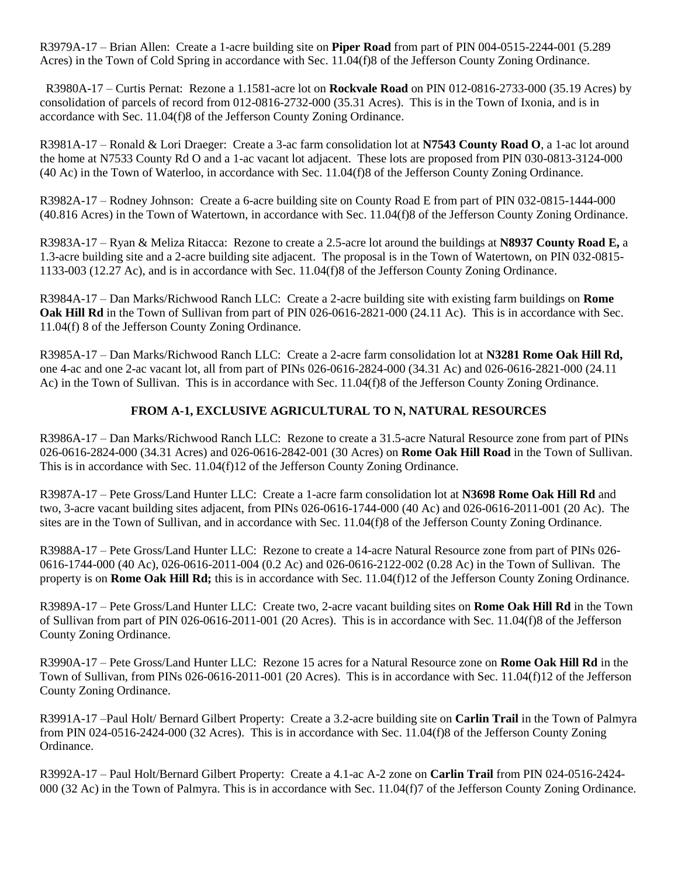R3979A-17 – Brian Allen: Create a 1-acre building site on **Piper Road** from part of PIN 004-0515-2244-001 (5.289 Acres) in the Town of Cold Spring in accordance with Sec. 11.04(f)8 of the Jefferson County Zoning Ordinance.

R3980A-17 – Curtis Pernat: Rezone a 1.1581-acre lot on **Rockvale Road** on PIN 012-0816-2733-000 (35.19 Acres) by consolidation of parcels of record from 012-0816-2732-000 (35.31 Acres). This is in the Town of Ixonia, and is in accordance with Sec. 11.04(f)8 of the Jefferson County Zoning Ordinance.

R3981A-17 – Ronald & Lori Draeger: Create a 3-ac farm consolidation lot at **N7543 County Road O**, a 1-ac lot around the home at N7533 County Rd O and a 1-ac vacant lot adjacent. These lots are proposed from PIN 030-0813-3124-000 (40 Ac) in the Town of Waterloo, in accordance with Sec. 11.04(f)8 of the Jefferson County Zoning Ordinance.

R3982A-17 – Rodney Johnson: Create a 6-acre building site on County Road E from part of PIN 032-0815-1444-000 (40.816 Acres) in the Town of Watertown, in accordance with Sec. 11.04(f)8 of the Jefferson County Zoning Ordinance.

R3983A-17 – Ryan & Meliza Ritacca: Rezone to create a 2.5-acre lot around the buildings at **N8937 County Road E,** a 1.3-acre building site and a 2-acre building site adjacent. The proposal is in the Town of Watertown, on PIN 032-0815- 1133-003 (12.27 Ac), and is in accordance with Sec. 11.04(f)8 of the Jefferson County Zoning Ordinance.

R3984A-17 – Dan Marks/Richwood Ranch LLC: Create a 2-acre building site with existing farm buildings on **Rome Oak Hill Rd** in the Town of Sullivan from part of PIN 026-0616-2821-000 (24.11 Ac). This is in accordance with Sec. 11.04(f) 8 of the Jefferson County Zoning Ordinance.

R3985A-17 – Dan Marks/Richwood Ranch LLC: Create a 2-acre farm consolidation lot at **N3281 Rome Oak Hill Rd,** one 4-ac and one 2-ac vacant lot, all from part of PINs 026-0616-2824-000 (34.31 Ac) and 026-0616-2821-000 (24.11 Ac) in the Town of Sullivan. This is in accordance with Sec. 11.04(f)8 of the Jefferson County Zoning Ordinance.

## **FROM A-1, EXCLUSIVE AGRICULTURAL TO N, NATURAL RESOURCES**

R3986A-17 – Dan Marks/Richwood Ranch LLC: Rezone to create a 31.5-acre Natural Resource zone from part of PINs 026-0616-2824-000 (34.31 Acres) and 026-0616-2842-001 (30 Acres) on **Rome Oak Hill Road** in the Town of Sullivan. This is in accordance with Sec. 11.04(f)12 of the Jefferson County Zoning Ordinance.

R3987A-17 – Pete Gross/Land Hunter LLC: Create a 1-acre farm consolidation lot at **N3698 Rome Oak Hill Rd** and two, 3-acre vacant building sites adjacent, from PINs 026-0616-1744-000 (40 Ac) and 026-0616-2011-001 (20 Ac). The sites are in the Town of Sullivan, and in accordance with Sec. 11.04(f)8 of the Jefferson County Zoning Ordinance.

R3988A-17 – Pete Gross/Land Hunter LLC: Rezone to create a 14-acre Natural Resource zone from part of PINs 026- 0616-1744-000 (40 Ac), 026-0616-2011-004 (0.2 Ac) and 026-0616-2122-002 (0.28 Ac) in the Town of Sullivan. The property is on **Rome Oak Hill Rd;** this is in accordance with Sec. 11.04(f)12 of the Jefferson County Zoning Ordinance.

R3989A-17 – Pete Gross/Land Hunter LLC: Create two, 2-acre vacant building sites on **Rome Oak Hill Rd** in the Town of Sullivan from part of PIN 026-0616-2011-001 (20 Acres). This is in accordance with Sec. 11.04(f)8 of the Jefferson County Zoning Ordinance.

R3990A-17 – Pete Gross/Land Hunter LLC: Rezone 15 acres for a Natural Resource zone on **Rome Oak Hill Rd** in the Town of Sullivan, from PINs 026-0616-2011-001 (20 Acres). This is in accordance with Sec. 11.04(f)12 of the Jefferson County Zoning Ordinance.

R3991A-17 –Paul Holt/ Bernard Gilbert Property: Create a 3.2-acre building site on **Carlin Trail** in the Town of Palmyra from PIN 024-0516-2424-000 (32 Acres). This is in accordance with Sec. 11.04(f)8 of the Jefferson County Zoning Ordinance.

R3992A-17 – Paul Holt/Bernard Gilbert Property: Create a 4.1-ac A-2 zone on **Carlin Trail** from PIN 024-0516-2424- 000 (32 Ac) in the Town of Palmyra. This is in accordance with Sec. 11.04(f)7 of the Jefferson County Zoning Ordinance.